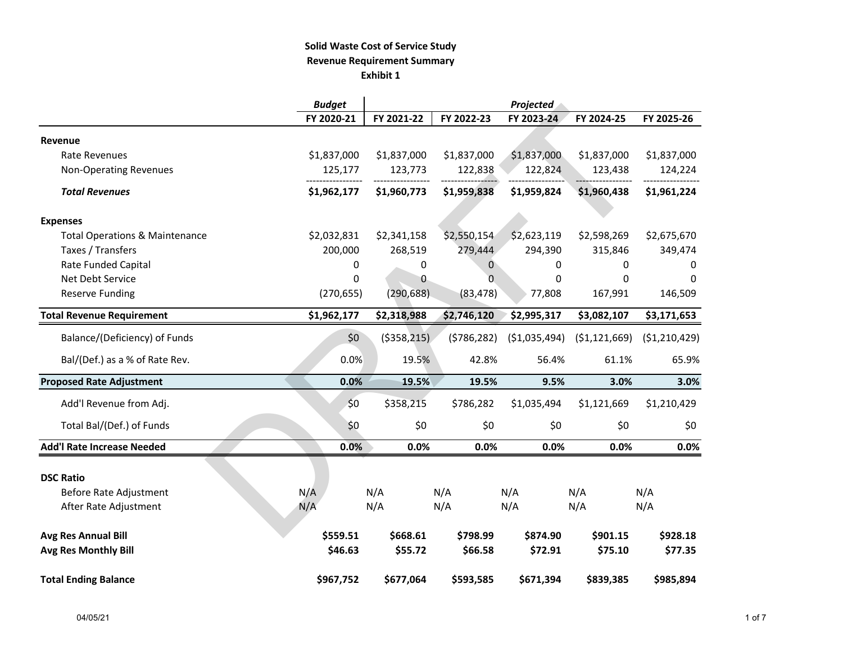### **Solid Waste Cost of Service Study Revenue Requirement Summary Exhibit 1**

|                                           | <b>Budget</b> | Projected     |             |                |                |                |
|-------------------------------------------|---------------|---------------|-------------|----------------|----------------|----------------|
|                                           | FY 2020-21    | FY 2021-22    | FY 2022-23  | FY 2023-24     | FY 2024-25     | FY 2025-26     |
| Revenue                                   |               |               |             |                |                |                |
| <b>Rate Revenues</b>                      | \$1,837,000   | \$1,837,000   | \$1,837,000 | \$1,837,000    | \$1,837,000    | \$1,837,000    |
| <b>Non-Operating Revenues</b>             | 125,177       | 123,773       | 122,838     | 122,824        | 123,438        | 124,224        |
| <b>Total Revenues</b>                     | \$1,962,177   | \$1,960,773   | \$1,959,838 | \$1,959,824    | \$1,960,438    | \$1,961,224    |
| <b>Expenses</b>                           |               |               |             |                |                |                |
| <b>Total Operations &amp; Maintenance</b> | \$2,032,831   | \$2,341,158   | \$2,550,154 | \$2,623,119    | \$2,598,269    | \$2,675,670    |
| Taxes / Transfers                         | 200,000       | 268,519       | 279,444     | 294,390        | 315,846        | 349,474        |
| Rate Funded Capital                       | 0             | 0             | 0           | 0              | 0              | 0              |
| Net Debt Service                          | 0             | 0             | $\Omega$    | $\mathbf 0$    | $\Omega$       | 0              |
| <b>Reserve Funding</b>                    | (270, 655)    | (290, 688)    | (83, 478)   | 77,808         | 167,991        | 146,509        |
| <b>Total Revenue Requirement</b>          | \$1,962,177   | \$2,318,988   | \$2,746,120 | \$2,995,317    | \$3,082,107    | \$3,171,653    |
| Balance/(Deficiency) of Funds             | \$0           | ( \$358, 215) | (5786, 282) | ( \$1,035,494) | ( \$1,121,669) | ( \$1,210,429) |
| Bal/(Def.) as a % of Rate Rev.            | 0.0%          | 19.5%         | 42.8%       | 56.4%          | 61.1%          | 65.9%          |
| <b>Proposed Rate Adjustment</b>           | 0.0%          | 19.5%         | 19.5%       | 9.5%           | 3.0%           | 3.0%           |
| Add'l Revenue from Adj.                   | \$0           | \$358,215     | \$786,282   | \$1,035,494    | \$1,121,669    | \$1,210,429    |
| Total Bal/(Def.) of Funds                 | \$0           | \$0           | \$0         | \$0            | \$0            | \$0            |
| <b>Add'l Rate Increase Needed</b>         | 0.0%          | 0.0%          | 0.0%        | 0.0%           | 0.0%           | 0.0%           |
| <b>DSC Ratio</b>                          |               |               |             |                |                |                |
| Before Rate Adjustment                    | N/A           | N/A           | N/A         | N/A            | N/A            | N/A            |
| After Rate Adjustment                     | N/A           | N/A           | N/A         | N/A            | N/A            | N/A            |
| Avg Res Annual Bill                       | \$559.51      | \$668.61      | \$798.99    | \$874.90       | \$901.15       | \$928.18       |
| <b>Avg Res Monthly Bill</b>               | \$46.63       | \$55.72       | \$66.58     | \$72.91        | \$75.10        | \$77.35        |
| <b>Total Ending Balance</b>               | \$967,752     | \$677,064     | \$593,585   | \$671,394      | \$839,385      | \$985,894      |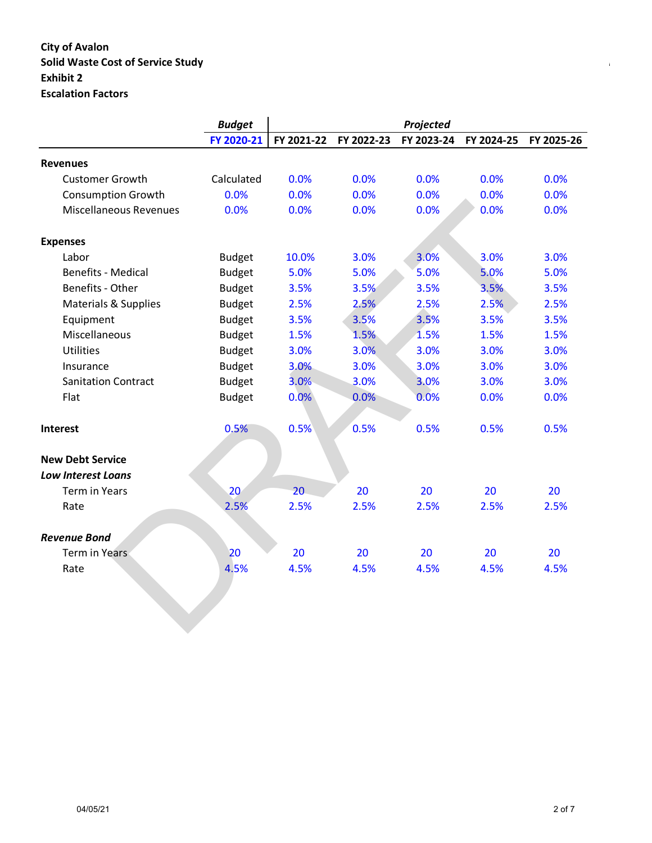## **City of Avalon Solid Waste Cost of Service Study** *Page 1 of 3* **of 3***a***<sub>1</sub> of 3***a***<sub>1</sub> of 3***a***<sub>1</sub> of 3***a***<sub>1</sub> of 3***a***<sub>1</sub> of 3***a***<sub>1</sub> of 3***a***<sub>1</sub> of 3***a***<sub>1</sub> of 3***a***<sub>1</sub> of 3***a***<sub>1</sub> of 3***a***<sub>1</sub> of 3***a***<sub>1</sub> of 3***a***<sub>1</sub> of 3***a***<sub>1</sub> of 3***a***<sub>1</sub> of 3***a* **Exhibit 2 Escalation Factors**

|                                 | <b>Budget</b> | Projected  |            |            |            |            |  |  |  |
|---------------------------------|---------------|------------|------------|------------|------------|------------|--|--|--|
|                                 | FY 2020-21    | FY 2021-22 | FY 2022-23 | FY 2023-24 | FY 2024-25 | FY 2025-26 |  |  |  |
| <b>Revenues</b>                 |               |            |            |            |            |            |  |  |  |
| <b>Customer Growth</b>          | Calculated    | 0.0%       | 0.0%       | 0.0%       | 0.0%       | 0.0%       |  |  |  |
| <b>Consumption Growth</b>       | 0.0%          | 0.0%       | 0.0%       | 0.0%       | 0.0%       | 0.0%       |  |  |  |
| <b>Miscellaneous Revenues</b>   | 0.0%          | 0.0%       | 0.0%       | 0.0%       | 0.0%       | 0.0%       |  |  |  |
| <b>Expenses</b>                 |               |            |            |            |            |            |  |  |  |
| Labor                           | <b>Budget</b> | 10.0%      | 3.0%       | 3.0%       | 3.0%       | 3.0%       |  |  |  |
| <b>Benefits - Medical</b>       | <b>Budget</b> | 5.0%       | 5.0%       | 5.0%       | 5.0%       | 5.0%       |  |  |  |
| Benefits - Other                | <b>Budget</b> | 3.5%       | 3.5%       | 3.5%       | 3.5%       | 3.5%       |  |  |  |
| <b>Materials &amp; Supplies</b> | <b>Budget</b> | 2.5%       | 2.5%       | 2,5%       | 2.5%       | 2.5%       |  |  |  |
| Equipment                       | <b>Budget</b> | 3.5%       | 3.5%       | 3.5%       | 3.5%       | 3.5%       |  |  |  |
| Miscellaneous                   | <b>Budget</b> | 1.5%       | 1.5%       | 1.5%       | 1.5%       | 1.5%       |  |  |  |
| Utilities                       | <b>Budget</b> | 3.0%       | 3.0%       | 3.0%       | 3.0%       | 3.0%       |  |  |  |
| Insurance                       | <b>Budget</b> | 3.0%       | 3.0%       | 3.0%       | 3.0%       | 3.0%       |  |  |  |
| <b>Sanitation Contract</b>      | <b>Budget</b> | 3.0%       | 3.0%       | 3.0%       | 3.0%       | 3.0%       |  |  |  |
| Flat                            | <b>Budget</b> | 0.0%       | 0.0%       | 0.0%       | 0.0%       | 0.0%       |  |  |  |
| Interest                        | 0.5%          | 0.5%       | 0.5%       | 0.5%       | 0.5%       | 0.5%       |  |  |  |
| <b>New Debt Service</b>         |               |            |            |            |            |            |  |  |  |
| <b>Low Interest Loans</b>       |               |            |            |            |            |            |  |  |  |
| <b>Term in Years</b>            | 20            | 20         | 20         | 20         | 20         | 20         |  |  |  |
| Rate                            | 2.5%          | 2.5%       | 2.5%       | 2.5%       | 2.5%       | 2.5%       |  |  |  |
| <b>Revenue Bond</b>             |               |            |            |            |            |            |  |  |  |
| <b>Term in Years</b>            | 20            | 20         | 20         | 20         | 20         | 20         |  |  |  |
| Rate                            | 4.5%          | 4.5%       | 4.5%       | 4.5%       | 4.5%       | 4.5%       |  |  |  |
|                                 |               |            |            |            |            |            |  |  |  |
|                                 |               |            |            |            |            |            |  |  |  |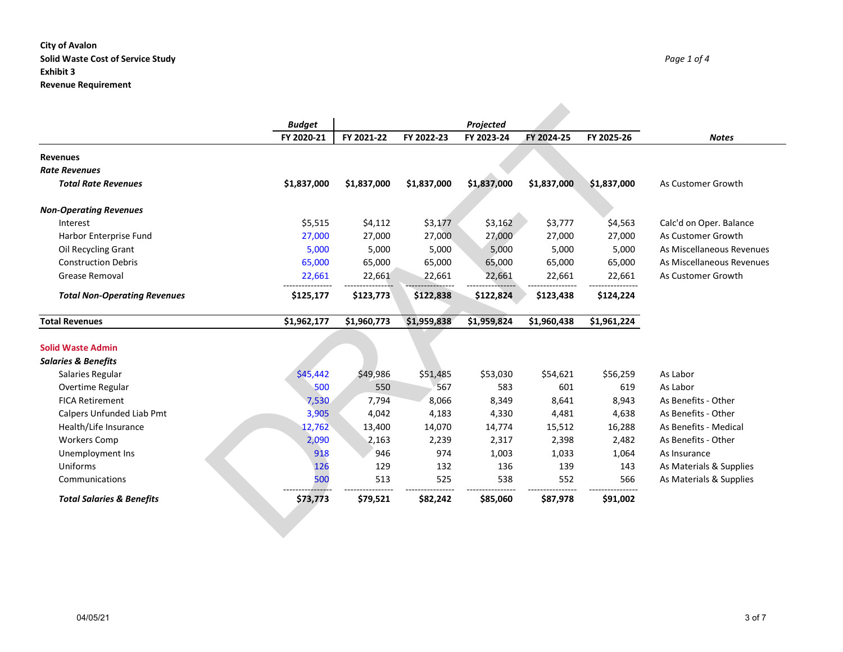#### **City of Avalon Solid Waste Cost of Service Study** *Page 1 of 4* **Exhibit 3 Revenue Requirement**

|                                      | <b>Budget</b> |             |             | Projected   |             |             |                           |  |
|--------------------------------------|---------------|-------------|-------------|-------------|-------------|-------------|---------------------------|--|
|                                      | FY 2020-21    | FY 2021-22  | FY 2022-23  | FY 2023-24  | FY 2024-25  | FY 2025-26  | <b>Notes</b>              |  |
| <b>Revenues</b>                      |               |             |             |             |             |             |                           |  |
| <b>Rate Revenues</b>                 |               |             |             |             |             |             |                           |  |
| <b>Total Rate Revenues</b>           | \$1,837,000   | \$1,837,000 | \$1,837,000 | \$1,837,000 | \$1,837,000 | \$1,837,000 | As Customer Growth        |  |
| <b>Non-Operating Revenues</b>        |               |             |             |             |             |             |                           |  |
| Interest                             | \$5,515       | \$4,112     | \$3,177     | \$3,162     | \$3,777     | \$4,563     | Calc'd on Oper. Balance   |  |
| Harbor Enterprise Fund               | 27,000        | 27,000      | 27,000      | 27,000      | 27,000      | 27,000      | As Customer Growth        |  |
| Oil Recycling Grant                  | 5,000         | 5,000       | 5,000       | 5,000       | 5,000       | 5,000       | As Miscellaneous Revenues |  |
| <b>Construction Debris</b>           | 65,000        | 65,000      | 65,000      | 65,000      | 65,000      | 65,000      | As Miscellaneous Revenues |  |
| Grease Removal                       | 22,661        | 22,661      | 22,661      | 22,661      | 22,661      | 22,661      | As Customer Growth        |  |
| <b>Total Non-Operating Revenues</b>  | \$125,177     | \$123,773   | \$122,838   | \$122,824   | \$123,438   | \$124,224   |                           |  |
| <b>Total Revenues</b>                | \$1,962,177   | \$1,960,773 | \$1,959,838 | \$1,959,824 | \$1,960,438 | \$1,961,224 |                           |  |
| <b>Solid Waste Admin</b>             |               |             |             |             |             |             |                           |  |
| <b>Salaries &amp; Benefits</b>       |               |             |             |             |             |             |                           |  |
| Salaries Regular                     | \$45,442      | \$49,986    | \$51,485    | \$53,030    | \$54,621    | \$56,259    | As Labor                  |  |
| Overtime Regular                     | 500           | 550         | 567         | 583         | 601         | 619         | As Labor                  |  |
| <b>FICA Retirement</b>               | 7,530         | 7,794       | 8,066       | 8,349       | 8,641       | 8,943       | As Benefits - Other       |  |
| Calpers Unfunded Liab Pmt            | 3,905         | 4,042       | 4,183       | 4,330       | 4,481       | 4,638       | As Benefits - Other       |  |
| Health/Life Insurance                | 12,762        | 13,400      | 14,070      | 14,774      | 15,512      | 16,288      | As Benefits - Medical     |  |
| <b>Workers Comp</b>                  | 2,090         | 2,163       | 2,239       | 2,317       | 2,398       | 2,482       | As Benefits - Other       |  |
| Unemployment Ins                     | 918           | 946         | 974         | 1,003       | 1,033       | 1,064       | As Insurance              |  |
| Uniforms                             | 126           | 129         | 132         | 136         | 139         | 143         | As Materials & Supplies   |  |
| Communications                       | 500           | 513         | 525         | 538         | 552         | 566         | As Materials & Supplies   |  |
| <b>Total Salaries &amp; Benefits</b> | \$73,773      | \$79,521    | \$82,242    | \$85,060    | \$87,978    | \$91,002    |                           |  |
|                                      |               |             |             |             |             |             |                           |  |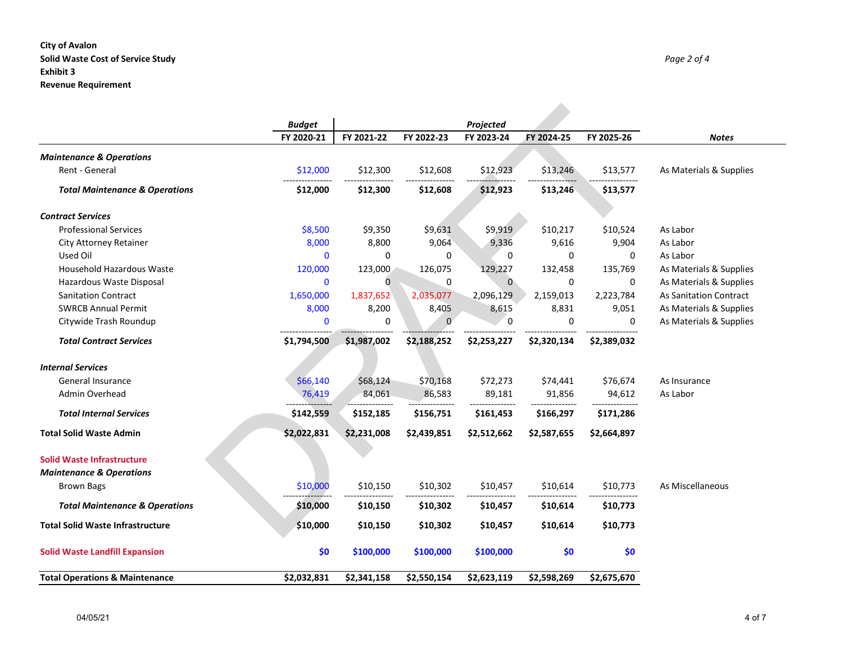#### **City of Avalon Solid Waste Cost of Service Study** *Page 2 of 4* **Exhibit 3 Revenue Requirement**

|                                           | <b>Budget</b> |             |              | Projected   |             |             |                         |  |
|-------------------------------------------|---------------|-------------|--------------|-------------|-------------|-------------|-------------------------|--|
|                                           | FY 2020-21    | FY 2021-22  | FY 2022-23   | FY 2023-24  | FY 2024-25  | FY 2025-26  | <b>Notes</b>            |  |
| <b>Maintenance &amp; Operations</b>       |               |             |              |             |             |             |                         |  |
| Rent - General                            | \$12,000      | \$12,300    | \$12,608     | \$12,923    | \$13,246    | \$13,577    | As Materials & Supplies |  |
| <b>Total Maintenance &amp; Operations</b> | \$12,000      | \$12,300    | \$12,608     | \$12,923    | \$13,246    | \$13,577    |                         |  |
| <b>Contract Services</b>                  |               |             |              |             |             |             |                         |  |
| <b>Professional Services</b>              | \$8,500       | \$9,350     | \$9,631      | \$9,919     | \$10,217    | \$10,524    | As Labor                |  |
| City Attorney Retainer                    | 8,000         | 8,800       | 9,064        | 9,336       | 9,616       | 9,904       | As Labor                |  |
| Used Oil                                  | $\Omega$      | $\Omega$    | 0            | $\Omega$    | 0           | $\Omega$    | As Labor                |  |
| Household Hazardous Waste                 | 120,000       | 123,000     | 126,075      | 129,227     | 132,458     | 135,769     | As Materials & Supplies |  |
| Hazardous Waste Disposal                  | $\mathbf{0}$  | $\Omega$    | 0            | $\Omega$    | 0           | 0           | As Materials & Supplies |  |
| <b>Sanitation Contract</b>                | 1,650,000     | 1,837,652   | 2,035,077    | 2,096,129   | 2,159,013   | 2,223,784   | As Sanitation Contract  |  |
| <b>SWRCB Annual Permit</b>                | 8,000         | 8,200       | 8,405        | 8,615       | 8,831       | 9,051       | As Materials & Supplies |  |
| Citywide Trash Roundup                    | 0             | 0           | $\mathbf{0}$ | $\mathbf 0$ | 0           | 0           | As Materials & Supplies |  |
| <b>Total Contract Services</b>            | \$1,794,500   | \$1,987,002 | \$2,188,252  | \$2,253,227 | \$2,320,134 | \$2,389,032 |                         |  |
| <b>Internal Services</b>                  |               |             |              |             |             |             |                         |  |
| General Insurance                         | \$66,140      | \$68,124    | \$70,168     | \$72,273    | \$74,441    | \$76,674    | As Insurance            |  |
| Admin Overhead                            | 76,419        | 84,061      | 86,583       | 89,181      | 91,856      | 94,612      | As Labor                |  |
| <b>Total Internal Services</b>            | \$142,559     | \$152,185   | \$156,751    | \$161,453   | \$166,297   | \$171,286   |                         |  |
| <b>Total Solid Waste Admin</b>            | \$2,022,831   | \$2,231,008 | \$2,439,851  | \$2,512,662 | \$2,587,655 | \$2,664,897 |                         |  |
|                                           |               |             |              |             |             |             |                         |  |
| <b>Solid Waste Infrastructure</b>         |               |             |              |             |             |             |                         |  |
| <b>Maintenance &amp; Operations</b>       |               |             |              |             |             |             |                         |  |
| <b>Brown Bags</b>                         | \$10,000      | \$10,150    | \$10,302     | \$10,457    | \$10,614    | \$10,773    | As Miscellaneous        |  |
| <b>Total Maintenance &amp; Operations</b> | \$10,000      | \$10,150    | \$10,302     | \$10,457    | \$10,614    | \$10,773    |                         |  |
| <b>Total Solid Waste Infrastructure</b>   | \$10,000      | \$10,150    | \$10,302     | \$10,457    | \$10,614    | \$10,773    |                         |  |
| <b>Solid Waste Landfill Expansion</b>     | \$0           | \$100,000   | \$100,000    | \$100,000   | \$0         | \$0         |                         |  |
| <b>Total Operations &amp; Maintenance</b> | \$2,032,831   | \$2,341,158 | \$2,550,154  | \$2,623,119 | \$2,598,269 | \$2,675,670 |                         |  |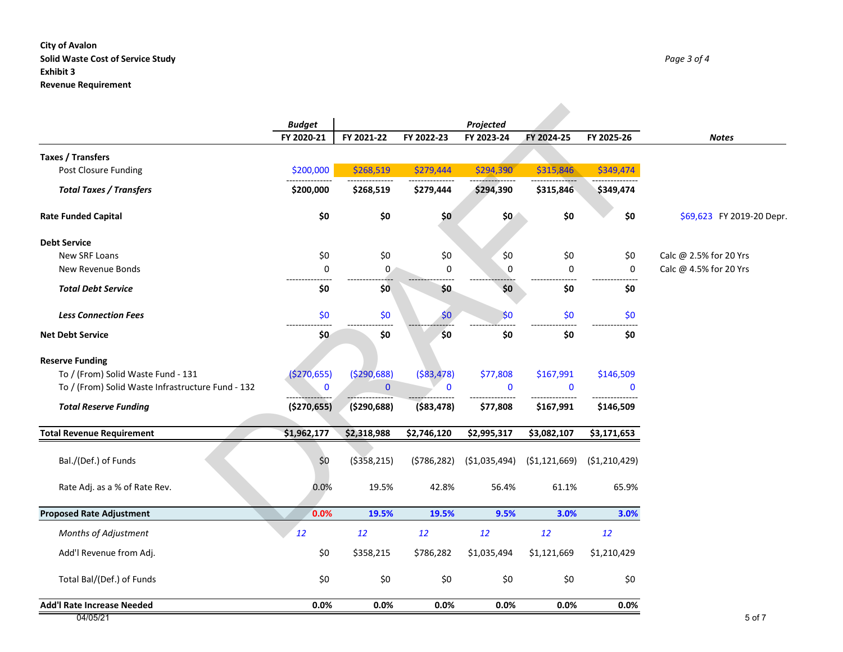#### **City of Avalon Solid Waste Cost of Service Study** *Page 3 of 4* **Exhibit 3 Revenue Requirement**

|                                                   | <b>Budget</b> |               |             | Projected      |                |                |                           |
|---------------------------------------------------|---------------|---------------|-------------|----------------|----------------|----------------|---------------------------|
|                                                   | FY 2020-21    | FY 2021-22    | FY 2022-23  | FY 2023-24     | FY 2024-25     | FY 2025-26     | <b>Notes</b>              |
| <b>Taxes / Transfers</b>                          |               |               |             |                |                |                |                           |
| Post Closure Funding                              | \$200,000     | \$268,519     | \$279,444   | \$294,390      | \$315,846      | \$349,474      |                           |
| <b>Total Taxes / Transfers</b>                    | \$200,000     | \$268,519     | \$279,444   | \$294,390      | \$315,846      | \$349,474      |                           |
| <b>Rate Funded Capital</b>                        | \$0           | \$0           | \$0         | \$0            | \$0            | \$0            | \$69,623 FY 2019-20 Depr. |
| <b>Debt Service</b>                               |               |               |             |                |                |                |                           |
| New SRF Loans                                     | \$0           | \$0           | \$0         | \$0            | \$0            | \$0            | Calc @ 2.5% for 20 Yrs    |
| New Revenue Bonds                                 | 0             | $\mathbf{0}$  | 0           | 0              | $\mathbf 0$    | $\mathbf{0}$   | Calc @ 4.5% for 20 Yrs    |
| <b>Total Debt Service</b>                         | \$0           | \$0           | \$0         | \$0            | \$0            | \$0            |                           |
| <b>Less Connection Fees</b>                       | \$0           | \$0           | \$0         | 50             | 50             | \$0            |                           |
| <b>Net Debt Service</b>                           | \$0           | \$0           | \$0         | \$0            | \$0            | \$0            |                           |
| <b>Reserve Funding</b>                            |               |               |             |                |                |                |                           |
| To / (From) Solid Waste Fund - 131                | ( \$270, 655) | ( \$290, 688) | ( \$83,478) | \$77,808       | \$167,991      | \$146,509      |                           |
| To / (From) Solid Waste Infrastructure Fund - 132 | $\mathbf 0$   | $\mathbf{0}$  | $\mathbf 0$ | $\bf{0}$       | $\mathbf 0$    | $\mathbf 0$    |                           |
| <b>Total Reserve Funding</b>                      | (\$270,655)   | ( \$290, 688) | ( \$83,478) | \$77,808       | \$167,991      | \$146,509      |                           |
| <b>Total Revenue Requirement</b>                  | \$1,962,177   | \$2,318,988   | \$2,746,120 | \$2,995,317    | \$3,082,107    | \$3,171,653    |                           |
| Bal./(Def.) of Funds                              | \$0           | ( \$358, 215) | (5786, 282) | ( \$1,035,494) | (51, 121, 669) | (51, 210, 429) |                           |
| Rate Adj. as a % of Rate Rev.                     | 0.0%          | 19.5%         | 42.8%       | 56.4%          | 61.1%          | 65.9%          |                           |
| <b>Proposed Rate Adjustment</b>                   | 0.0%          | 19.5%         | 19.5%       | 9.5%           | 3.0%           | 3.0%           |                           |
| Months of Adjustment                              | 12            | 12            | 12          | 12             | 12             | 12             |                           |
| Add'l Revenue from Adj.                           | \$0           | \$358,215     | \$786,282   | \$1,035,494    | \$1,121,669    | \$1,210,429    |                           |
| Total Bal/(Def.) of Funds                         | \$0           | \$0           | \$0         | \$0            | \$0            | \$0            |                           |
| <b>Add'l Rate Increase Needed</b>                 | 0.0%          | 0.0%          | 0.0%        | 0.0%           | 0.0%           | 0.0%           |                           |
| 04/05/21                                          |               |               |             |                |                |                | 5 of 7                    |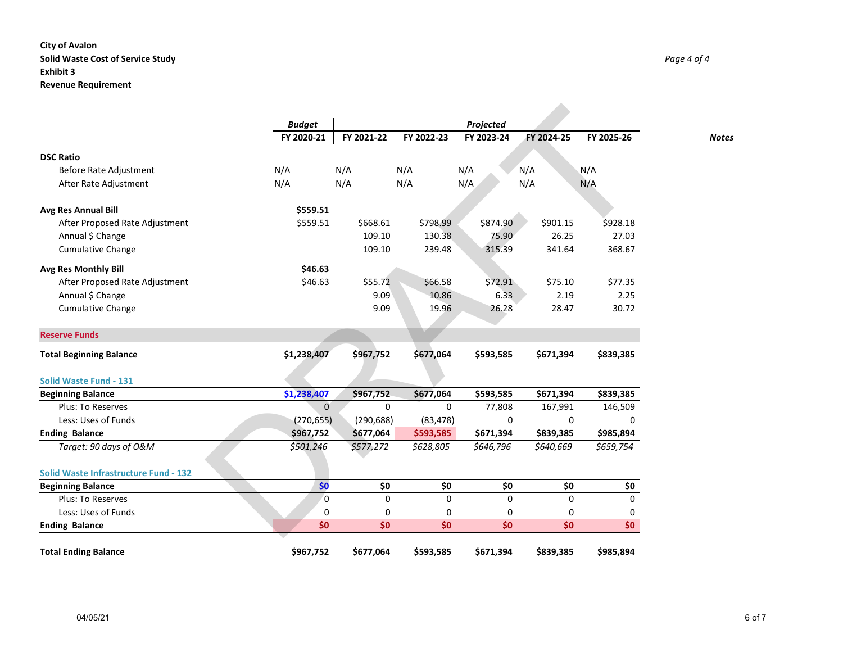#### **City of Avalon Solid Waste Cost of Service Study** *Page 4 of 4* **Exhibit 3 Revenue Requirement**

|                                              | <b>Budget</b>  | Projected   |            |            |            |            |  |
|----------------------------------------------|----------------|-------------|------------|------------|------------|------------|--|
|                                              | FY 2020-21     | FY 2021-22  | FY 2022-23 | FY 2023-24 | FY 2024-25 | FY 2025-26 |  |
| <b>DSC Ratio</b>                             |                |             |            |            |            |            |  |
| Before Rate Adjustment                       | N/A            | N/A         | N/A        | N/A        | N/A        | N/A        |  |
| After Rate Adjustment                        | N/A            | N/A         | N/A        | N/A        | N/A        | N/A        |  |
|                                              |                |             |            |            |            |            |  |
| Avg Res Annual Bill                          | \$559.51       |             |            |            |            |            |  |
| After Proposed Rate Adjustment               | \$559.51       | \$668.61    | \$798.99   | \$874.90   | \$901.15   | \$928.18   |  |
| Annual \$ Change                             |                | 109.10      | 130.38     | 75.90      | 26.25      | 27.03      |  |
| Cumulative Change                            |                | 109.10      | 239.48     | 315.39     | 341.64     | 368.67     |  |
| <b>Avg Res Monthly Bill</b>                  | \$46.63        |             |            |            |            |            |  |
| After Proposed Rate Adjustment               | \$46.63        | \$55.72     | \$66.58    | \$72.91    | \$75.10    | \$77.35    |  |
| Annual \$ Change                             |                | 9.09        | 10.86      | 6.33       | 2.19       | 2.25       |  |
| <b>Cumulative Change</b>                     |                | 9.09        | 19.96      | 26.28      | 28.47      | 30.72      |  |
|                                              |                |             |            |            |            |            |  |
| <b>Reserve Funds</b>                         |                |             |            |            |            |            |  |
| <b>Total Beginning Balance</b>               | \$1,238,407    | \$967,752   | \$677,064  | \$593,585  | \$671,394  | \$839,385  |  |
| <b>Solid Waste Fund - 131</b>                |                |             |            |            |            |            |  |
| <b>Beginning Balance</b>                     | \$1,238,407    | \$967,752   | \$677,064  | \$593,585  | \$671,394  | \$839,385  |  |
| <b>Plus: To Reserves</b>                     | $\Omega$       | $\mathbf 0$ | 0          | 77,808     | 167,991    | 146,509    |  |
| Less: Uses of Funds                          | (270, 655)     | (290, 688)  | (83, 478)  | $\Omega$   | 0          | 0          |  |
| <b>Ending Balance</b>                        | \$967,752      | \$677,064   | \$593,585  | \$671,394  | \$839,385  | \$985,894  |  |
| Target: 90 days of O&M                       | \$501,246      | \$577,272   | \$628,805  | \$646,796  | \$640,669  | \$659,754  |  |
|                                              |                |             |            |            |            |            |  |
| <b>Solid Waste Infrastructure Fund - 132</b> |                |             |            |            |            |            |  |
| <b>Beginning Balance</b>                     | \$0            | \$0         | \$0        | \$0        | \$0        | \$0        |  |
| Plus: To Reserves                            | $\overline{0}$ | $\mathbf 0$ | 0          | 0          | 0          | 0          |  |
| Less: Uses of Funds                          | 0              | 0           | 0          | 0          | 0          | 0          |  |
| <b>Ending Balance</b>                        | \$0            | \$0         | \$0        | \$0        | \$0        | \$0        |  |
| <b>Total Ending Balance</b>                  | \$967,752      | \$677,064   | \$593,585  | \$671,394  | \$839,385  | \$985,894  |  |